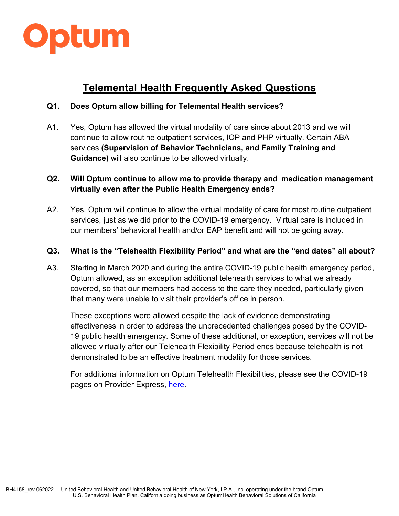

# **Telemental Health Frequently Asked Questions**

## **Q1. Does Optum allow billing for Telemental Health services?**

A1. Yes, Optum has allowed the virtual modality of care since about 2013 and we will continue to allow routine outpatient services, IOP and PHP virtually. Certain ABA services **(Supervision of Behavior Technicians, and Family Training and Guidance)** will also continue to be allowed virtually.

## **Q2. Will Optum continue to allow me to provide therapy and medication management virtually even after the Public Health Emergency ends?**

A2. Yes, Optum will continue to allow the virtual modality of care for most routine outpatient services, just as we did prior to the COVID-19 emergency. Virtual care is included in our members' behavioral health and/or EAP benefit and will not be going away.

### **Q3. What is the "Telehealth Flexibility Period" and what are the "end dates" all about?**

A3. Starting in March 2020 and during the entire COVID-19 public health emergency period, Optum allowed, as an exception additional telehealth services to what we already covered, so that our members had access to the care they needed, particularly given that many were unable to visit their provider's office in person.

These exceptions were allowed despite the lack of evidence demonstrating effectiveness in order to address the unprecedented challenges posed by the COVID-19 public health emergency. Some of these additional, or exception, services will not be allowed virtually after our Telehealth Flexibility Period ends because telehealth is not demonstrated to be an effective treatment modality for those services.

For additional information on Optum Telehealth Flexibilities, please see the COVID-19 pages on Provider Express, [here.](https://www.providerexpress.com/content/ope-provexpr/us/en/COVID-19_Provider_Updates/covid19-OP_Policies.html#post-COVID.html)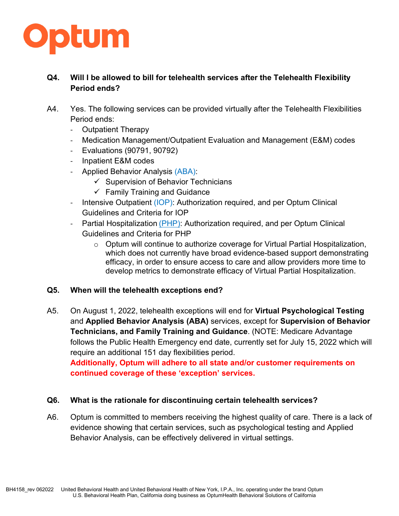

## **Q4. Will I be allowed to bill for telehealth services after the Telehealth Flexibility Period ends?**

- A4. Yes. The following services can be provided virtually after the Telehealth Flexibilities Period ends:
	- Outpatient Therapy
	- Medication Management/Outpatient Evaluation and Management (E&M) codes
	- Evaluations (90791, 90792)
	- Inpatient E&M codes
	- [Applied Behavior Analysis \(ABA\):](https://www.providerexpress.com/content/ope-provexpr/us/en/clinical-resources/autismABA.html)
		- $\checkmark$  Supervision of Behavior Technicians
		- $\checkmark$  Family Training and Guidance
	- [Intensive Outpatient \(IOP\):](https://www.providerexpress.com/content/ope-provexpr/us/en/clinical-resources.html) Authorization required, and per Optum Clinical Guidelines and Criteria for IOP
	- Partial Hospitalization [\(PHP\):](https://www.providerexpress.com/content/ope-provexpr/us/en/clinical-resources.html) Authorization required, and per Optum Clinical Guidelines and Criteria for PHP
		- o Optum will continue to authorize coverage for Virtual Partial Hospitalization, which does not currently have broad evidence-based support demonstrating efficacy, in order to ensure access to care and allow providers more time to develop metrics to demonstrate efficacy of Virtual Partial Hospitalization.

### **Q5. When will the telehealth exceptions end?**

A5. On August 1, 2022, telehealth exceptions will end for **Virtual Psychological Testing** and **Applied Behavior Analysis (ABA)** services, except for **Supervision of Behavior Technicians, and Family Training and Guidance**. (NOTE: Medicare Advantage follows the Public Health Emergency end date, currently set for July 15, 2022 which will require an additional 151 day flexibilities period.

**Additionally, Optum will adhere to all state and/or customer requirements on continued coverage of these 'exception' services.**

### **Q6. What is the rationale for discontinuing certain telehealth services?**

A6. Optum is committed to members receiving the highest quality of care. There is a lack of evidence showing that certain services, such as psychological testing and Applied Behavior Analysis, can be effectively delivered in virtual settings.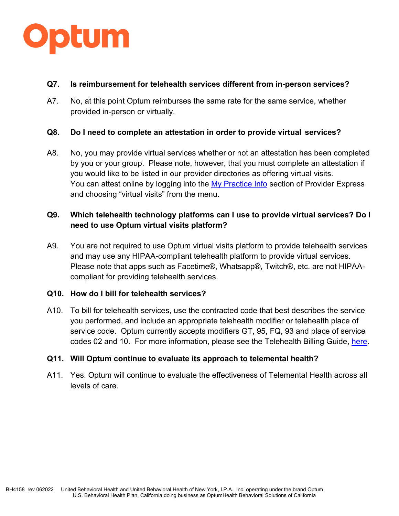

### **Q7. Is reimbursement for telehealth services different from in-person services?**

A7. No, at this point Optum reimburses the same rate for the same service, whether provided in-person or virtually.

### **Q8. Do I need to complete an attestation in order to provide virtual services?**

A8. No, you may provide virtual services whether or not an attestation has been completed by you or your group. Please note, however, that you must complete an attestation if you would like to be listed in our provider directories as offering virtual visits. You can attest online by logging into the [My Practice Info](https://identity.onehealthcareid.com/app/index.html#/login) section of Provider Express and choosing "virtual visits" from the menu.

## **Q9. Which telehealth technology platforms can I use to provide virtual services? Do I need to use Optum virtual visits platform?**

A9. You are not required to use Optum virtual visits platform to provide telehealth services and may use any HIPAA-compliant telehealth platform to provide virtual services. Please note that apps such as Facetime®, Whatsapp®, Twitch®, etc. are not HIPAAcompliant for providing telehealth services.

### **Q10. How do I bill for telehealth services?**

A10. To bill for telehealth services, use the contracted code that best describes the service you performed, and include an appropriate telehealth modifier or telehealth place of service code. Optum currently accepts modifiers GT, 95, FQ, 93 and place of service codes 02 and 10. For more information, please see the Telehealth Billing Guide, [here.](https://www.providerexpress.com/content/dam/ope-provexpr/us/pdfs/clinResourcesMain/tmh/tmhBillingGuide.pdf)

#### **Q11. Will Optum continue to evaluate its approach to telemental health?**

A11. Yes. Optum will continue to evaluate the effectiveness of Telemental Health across all levels of care.